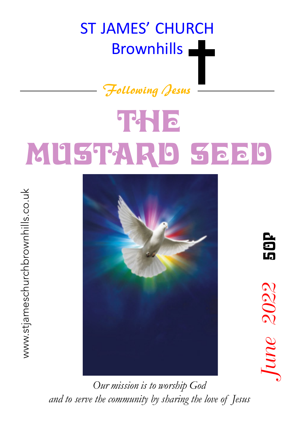# ST JAMES' CHURCH Brownhills **Legendier**

#### Following Jesus

# THE T MUSTARD SEED



50P  $June$  2022 50P June 2022

*Our mission is to worship God and to serve the community by sharing the love of Jesus*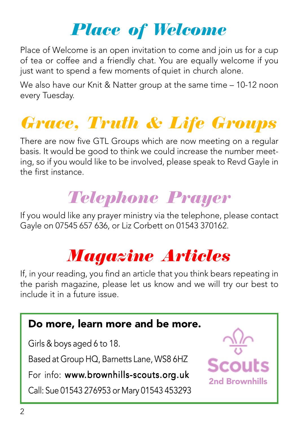### Place of Welcome

Place of Welcome is an open invitation to come and join us for a cup of tea or coffee and a friendly chat. You are equally welcome if you just want to spend a few moments of quiet in church alone.

We also have our Knit & Natter group at the same time – 10-12 noon every Tuesday.

### Grace, Truth & Life Groups

There are now five GTL Groups which are now meeting on a regular basis. It would be good to think we could increase the number meeting, so if you would like to be involved, please speak to Revd Gayle in the first instance.

### Telephone Prayer

If you would like any prayer ministry via the telephone, please contact Gayle on 07545 657 636, or Liz Corbett on 01543 370162.

### Magazine Articles

If, in your reading, you find an article that you think bears repeating in the parish magazine, please let us know and we will try our best to include it in a future issue.

#### Do more, learn more and be more.

Girls & boys aged 6 to 18.

Based at Group HQ, Barnetts Lane, WS8 6HZ

For info: www.brownhills-scouts.org.uk

Call: Sue 01543 276953 or Mary 01543 453293

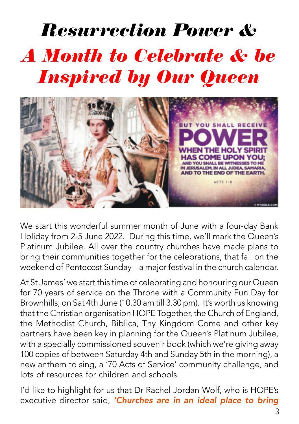## Resurrection Power & A Month to Celebrate & be Inspired by Our Queen



We start this wonderful summer month of June with a four-day Bank Holiday from 2-5 June 2022. During this time, we'll mark the Queen's Platinum Jubilee. All over the country churches have made plans to bring their communities together for the celebrations, that fall on the weekend of Pentecost Sunday – a major festival in the church calendar.

At St James' we start this time of celebrating and honouring our Queen for 70 years of service on the Throne with a Community Fun Day for Brownhills, on Sat 4th June (10.30 am till 3.30 pm). It's worth us knowing that the Christian organisation HOPE Together, the Church of England, the Methodist Church, Biblica, Thy Kingdom Come and other key partners have been key in planning for the Queen's Platinum Jubilee, with a specially commissioned souvenir book (which we're giving away 100 copies of between Saturday 4th and Sunday 5th in the morning), a new anthem to sing, a '70 Acts of Service' community challenge, and lots of resources for children and schools.

I'd like to highlight for us that Dr Rachel Jordan-Wolf, who is HOPE's executive director said, 'Churches are in an ideal place to bring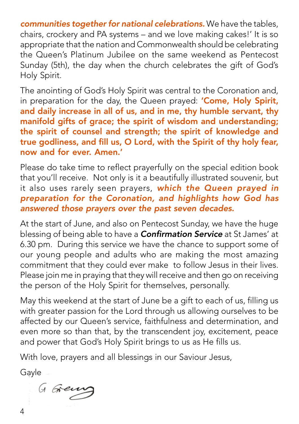communities together for national celebrations. We have the tables, chairs, crockery and PA systems – and we love making cakes!' It is so appropriate that the nation and Commonwealth should be celebrating the Queen's Platinum Jubilee on the same weekend as Pentecost Sunday (5th), the day when the church celebrates the gift of God's Holy Spirit.

The anointing of God's Holy Spirit was central to the Coronation and, in preparation for the day, the Queen prayed: 'Come, Holy Spirit, and daily increase in all of us, and in me, thy humble servant, thy manifold gifts of grace; the spirit of wisdom and understanding; the spirit of counsel and strength; the spirit of knowledge and true godliness, and fill us, O Lord, with the Spirit of thy holy fear, now and for ever. Amen.'

Please do take time to reflect prayerfully on the special edition book that you'll receive. Not only is it a beautifully illustrated souvenir, but it also uses rarely seen prayers, which the Queen prayed in preparation for the Coronation, and highlights how God has answered those prayers over the past seven decades.

At the start of June, and also on Pentecost Sunday, we have the huge blessing of being able to have a **Confirmation Service** at St James' at 6.30 pm. During this service we have the chance to support some of our young people and adults who are making the most amazing commitment that they could ever make to follow Jesus in their lives. Please join me in praying that they will receive and then go on receiving the person of the Holy Spirit for themselves, personally.

May this weekend at the start of June be a gift to each of us, filling us with greater passion for the Lord through us allowing ourselves to be affected by our Queen's service, faithfulness and determination, and even more so than that, by the transcendent joy, excitement, peace and power that God's Holy Spirit brings to us as He fills us.

With love, prayers and all blessings in our Saviour Jesus,

Gayle -

G Greuv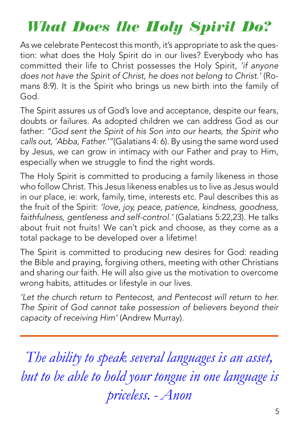#### What Does the Holy Spirit Do?

As we celebrate Pentecost this month, it's appropriate to ask the question: what does the Holy Spirit do in our lives? Everybody who has committed their life to Christ possesses the Holy Spirit, 'if anyone does not have the Spirit of Christ, he does not belong to Christ.' (Romans 8:9). It is the Spirit who brings us new birth into the family of God.

The Spirit assures us of God's love and acceptance, despite our fears, doubts or failures. As adopted children we can address God as our father: "God sent the Spirit of his Son into our hearts, the Spirit who calls out, 'Abba, Father.'"(Galatians 4: 6). By using the same word used by Jesus, we can grow in intimacy with our Father and pray to Him, especially when we struggle to find the right words.

The Holy Spirit is committed to producing a family likeness in those who follow Christ. This Jesus likeness enables us to live as Jesus would in our place, ie: work, family, time, interests etc. Paul describes this as the fruit of the Spirit: 'love, joy, peace, patience, kindness, goodness, faithfulness, gentleness and self-control.' (Galatians 5:22,23). He talks about fruit not fruits! We can't pick and choose, as they come as a total package to be developed over a lifetime!

The Spirit is committed to producing new desires for God: reading the Bible and praying, forgiving others, meeting with other Christians and sharing our faith. He will also give us the motivation to overcome wrong habits, attitudes or lifestyle in our lives.

'Let the church return to Pentecost, and Pentecost will return to her. The Spirit of God cannot take possession of believers beyond their capacity of receiving Him' (Andrew Murray).

*The ability to speak several languages is an asset, but to be able to hold your tongue in one language is priceless. - Anon*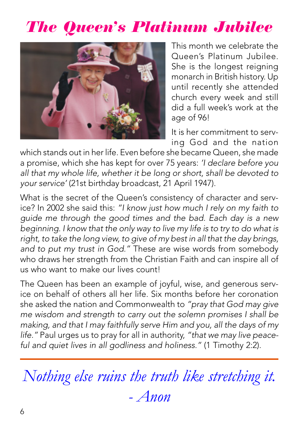#### The Queen's Platinum Jubilee



This month we celebrate the Queen's Platinum Jubilee. She is the longest reigning monarch in British history. Up until recently she attended church every week and still did a full week's work at the age of 96!

It is her commitment to serving God and the nation

which stands out in her life. Even before she became Queen, she made a promise, which she has kept for over 75 years: 'I declare before you all that my whole life, whether it be long or short, shall be devoted to your service' (21st birthday broadcast, 21 April 1947).

What is the secret of the Queen's consistency of character and service? In 2002 she said this: "I know just how much I rely on my faith to guide me through the good times and the bad. Each day is a new beginning. I know that the only way to live my life is to try to do what is right, to take the long view, to give of my best in all that the day brings, and to put my trust in God." These are wise words from somebody who draws her strength from the Christian Faith and can inspire all of us who want to make our lives count!

The Queen has been an example of joyful, wise, and generous service on behalf of others all her life. Six months before her coronation she asked the nation and Commonwealth to "pray that God may give me wisdom and strength to carry out the solemn promises I shall be making, and that I may faithfully serve Him and you, all the days of my life." Paul urges us to pray for all in authority, "that we may live peaceful and quiet lives in all godliness and holiness." (1 Timothy 2:2).

*Nothing else ruins the truth like stretching it. - Anon*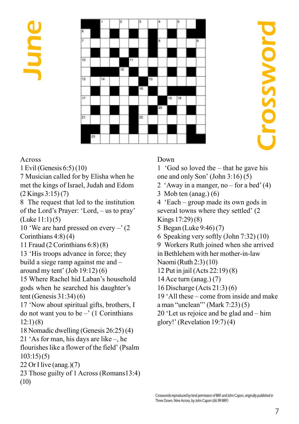June



#### Across

1 Evil (Genesis 6:5) (10)

7 Musician called for by Elisha when he met the kings of Israel, Judah and Edom (2 Kings 3:15) (7)

8 The request that led to the institution of the Lord's Prayer: 'Lord, – us to pray' (Luke 11:1) (5)

10 'We are hard pressed on every –' (2 Corinthians 4:8) (4)

11 Fraud (2 Corinthians 6:8) (8)

13 'His troops advance in force; they build a siege ramp against me and – around my tent' (Job 19:12) (6)

15 Where Rachel hid Laban's household gods when he searched his daughter's tent (Genesis 31:34) (6)

17 'Now about spiritual gifts, brothers, I do not want you to be  $-$ ' (1 Corinthians 12:1) (8)

18 Nomadic dwelling (Genesis 26:25) (4)

21 'As for man, his days are like –, he flourishes like a flower of the field' (Psalm 103:15) (5)

22 Or I live (anag.) $(7)$ 

23 Those guilty of 1 Across (Romans13:4) (10)

#### Down

1 'God so loved the – that he gave his one and only Son' (John 3:16) (5)

- 2 'Away in a manger, no for a bed'  $(4)$
- 3 Mob ten (anag.) (6)

4 'Each – group made its own gods in several towns where they settled' (2 Kings 17:29) (8)

- 5 Began (Luke 9:46) (7)
- 6 Speaking very softly (John 7:32) (10)
- 9 Workers Ruth joined when she arrived

in Bethlehem with her mother-in-law Naomi (Ruth 2:3) (10)

- 12 Put in jail (Acts 22:19) (8)
- 14 Ace turn (anag.) (7)
- 16 Discharge (Acts 21:3) (6)

19 'All these – come from inside and make

- a man "unclean"' (Mark 7:23) (5)
- 20 'Let us rejoice and be glad and him
- glory!' (Revelation 19:7) (4)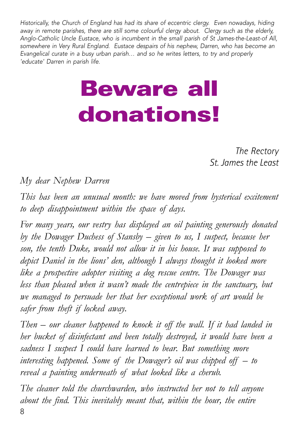Historically, the Church of England has had its share of eccentric clergy. Even nowadays, hiding away in remote parishes, there are still some colourful clergy about. Clergy such as the elderly, Anglo-Catholic Uncle Eustace, who is incumbent in the small parish of St James-the-Least-of All, somewhere in Very Rural England. Eustace despairs of his nephew, Darren, who has become an Evangelical curate in a busy urban parish… and so he writes letters, to try and properly 'educate' Darren in parish life.

# Beware all donations!

*The Rectory St. James the Least*

*My dear Nephew Darren*

*This has been an unusual month: we have moved from hysterical excitement to deep disappointment within the space of days.*

*For many years, our vestry has displayed an oil painting generously donated by the Dowager Duchess of Stansby – given to us, I suspect, because her son, the tenth Duke, would not allow it in his house. It was supposed to depict Daniel in the lions' den, although I always thought it looked more like a prospective adopter visiting a dog rescue centre. The Dowager was less than pleased when it wasn't made the centrepiece in the sanctuary, but we managed to persuade her that her exceptional work of art would be safer from theft if locked away.*

*Then – our cleaner happened to knock it off the wall. If it had landed in her bucket of disinfectant and been totally destroyed, it would have been a sadness I suspect I could have learned to bear. But something more interesting happened. Some of the Dowager's oil was chipped off – to reveal a painting underneath of what looked like a cherub.*

*The cleaner told the churchwarden, who instructed her not to tell anyone about the find. This inevitably meant that, within the hour, the entire* 8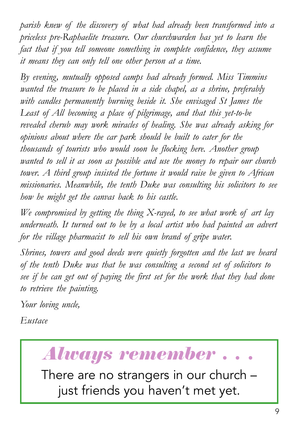*parish knew of the discovery of what had already been transformed into a priceless pre-Raphaelite treasure. Our churchwarden has yet to learn the fact that if you tell someone something in complete confidence, they assume it means they can only tell one other person at a time.*

*By evening, mutually opposed camps had already formed. Miss Timmins wanted the treasure to be placed in a side chapel, as a shrine, preferably with candles permanently burning beside it. She envisaged St James the Least of All becoming a place of pilgrimage, and that this yet-to-be revealed cherub may work miracles of healing. She was already asking for opinions about where the car park should be built to cater for the thousands of tourists who would soon be flocking here. Another group wanted to sell it as soon as possible and use the money to repair our church tower. A third group insisted the fortune it would raise be given to African missionaries. Meanwhile, the tenth Duke was consulting his solicitors to see how he might get the canvas back to his castle.*

*We compromised by getting the thing X-rayed, to see what work of art lay underneath. It turned out to be by a local artist who had painted an advert for the village pharmacist to sell his own brand of gripe water.*

*Shrines, towers and good deeds were quietly forgotten and the last we heard of the tenth Duke was that he was consulting a second set of solicitors to see if he can get out of paying the first set for the work that they had done to retrieve the painting.*

*Your loving uncle,*

*Eustace*

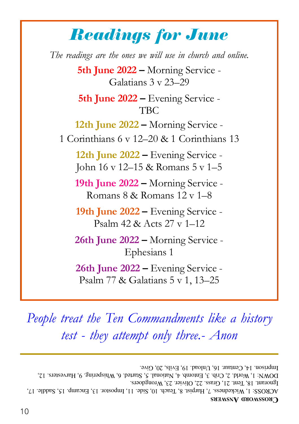#### Readings for June

*The readings are the ones we will use in church and online.* **5th June 2022 –** Morning Service - Galatians 3 v 23–29 **5th June 2022 –** Evening Service - TBC **12th June 2022 –** Morning Service - 1 Corinthians 6 v 12–20 & 1 Corinthians 13 **12th June 2022 –** Evening Service - John 16 v 12–15 & Romans 5 v 1–5 **19th June 2022 –** Morning Service - Romans 8 & Romans 12 v 1–8 **19th June 2022 –** Evening Service - Psalm 42 & Acts 27 v 1–12 **26th June 2022 –** Morning Service - Ephesians 1 **26th June 2022 –** Evening Service - Psalm 77 & Galatians 5 v 1, 13–25

*People treat the Ten Commandments like a history test - they attempt only three.- Anon*

**CROSSWORD ANSWERS** ACROSS: 1, Wickedness. 7, Harpist. 8, Teach. 10, Side. 11, Impostor. 13, Encamp. 15, Saddle. 17, Ignorant. 18, Tent. 21, Grass. 22, Olivier. 23, Wrongdoers. DOWN: 1, World. 2, Crib. 3, Entomb. 4, National. 5, Started. 6, Whispering. 9, Harvesters. 12, Imprison. 14, Centaur. 16, Unload. 19, Evils, 20, Give.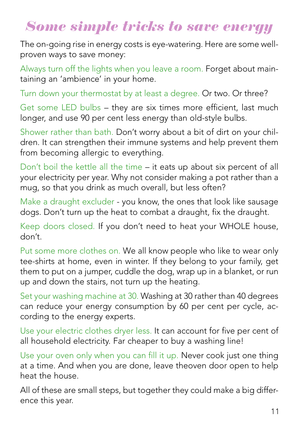#### Some simple tricks to save energy

The on-going rise in energy costs is eye-watering. Here are some wellproven ways to save money:

Always turn off the lights when you leave a room. Forget about maintaining an 'ambience' in your home.

Turn down your thermostat by at least a degree. Or two. Or three?

Get some LED bulbs – they are six times more efficient, last much longer, and use 90 per cent less energy than old-style bulbs.

Shower rather than bath. Don't worry about a bit of dirt on your children. It can strengthen their immune systems and help prevent them from becoming allergic to everything.

Don't boil the kettle all the time – it eats up about six percent of all your electricity per year. Why not consider making a pot rather than a mug, so that you drink as much overall, but less often?

Make a draught excluder - you know, the ones that look like sausage dogs. Don't turn up the heat to combat a draught, fix the draught.

Keep doors closed. If you don't need to heat your WHOLE house, don't.

Put some more clothes on. We all know people who like to wear only tee-shirts at home, even in winter. If they belong to your family, get them to put on a jumper, cuddle the dog, wrap up in a blanket, or run up and down the stairs, not turn up the heating.

Set your washing machine at 30. Washing at 30 rather than 40 degrees can reduce your energy consumption by 60 per cent per cycle, according to the energy experts.

Use your electric clothes dryer less. It can account for five per cent of all household electricity. Far cheaper to buy a washing line!

Use your oven only when you can fill it up. Never cook just one thing at a time. And when you are done, leave theoven door open to help heat the house.

All of these are small steps, but together they could make a big difference this year.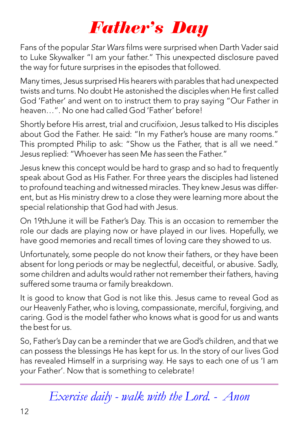#### Father's Day

Fans of the popular Star Wars films were surprised when Darth Vader said to Luke Skywalker "I am your father." This unexpected disclosure paved the way for future surprises in the episodes that followed.

Many times, Jesus surprised His hearers with parables that had unexpected twists and turns. No doubt He astonished the disciples when He first called God 'Father' and went on to instruct them to pray saying "Our Father in heaven…". No one had called God 'Father' before!

Shortly before His arrest, trial and crucifixion, Jesus talked to His disciples about God the Father. He said: "In my Father's house are many rooms." This prompted Philip to ask: "Show us the Father, that is all we need." Jesus replied: "Whoever has seen Me has seen the Father."

Jesus knew this concept would be hard to grasp and so had to frequently speak about God as His Father. For three years the disciples had listened to profound teaching and witnessed miracles. They knew Jesus was different, but as His ministry drew to a close they were learning more about the special relationship that God had with Jesus.

On 19thJune it will be Father's Day. This is an occasion to remember the role our dads are playing now or have played in our lives. Hopefully, we have good memories and recall times of loving care they showed to us.

Unfortunately, some people do not know their fathers, or they have been absent for long periods or may be neglectful, deceitful, or abusive. Sadly, some children and adults would rather not remember their fathers, having suffered some trauma or family breakdown.

It is good to know that God is not like this. Jesus came to reveal God as our Heavenly Father, who is loving, compassionate, merciful, forgiving, and caring. God is the model father who knows what is good for us and wants the best for us.

So, Father's Day can be a reminder that we are God's children, and that we can possess the blessings He has kept for us. In the story of our lives God has revealed Himself in a surprising way. He says to each one of us 'I am your Father'. Now that is something to celebrate!

*Exercise daily - walk with the Lord. - Anon*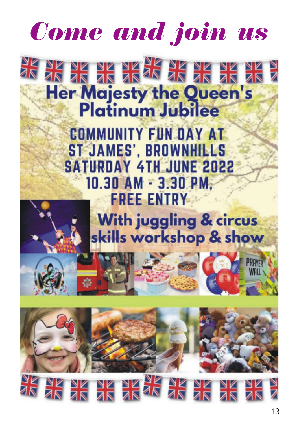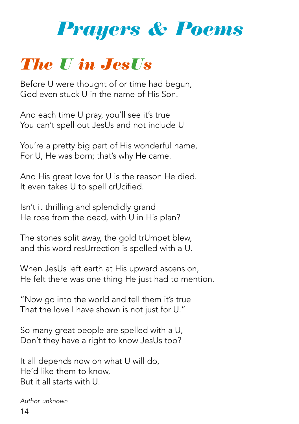

#### The U in JesUs

Before U were thought of or time had begun, God even stuck U in the name of His Son.

And each time U pray, you'll see it's true You can't spell out JesUs and not include U

You're a pretty big part of His wonderful name, For U, He was born; that's why He came.

And His great love for U is the reason He died. It even takes U to spell crUcified.

Isn't it thrilling and splendidly grand He rose from the dead, with U in His plan?

The stones split away, the gold trUmpet blew, and this word resUrrection is spelled with a U.

When JesUs left earth at His upward ascension, He felt there was one thing He just had to mention.

"Now go into the world and tell them it's true That the love I have shown is not just for U."

So many great people are spelled with a U, Don't they have a right to know JesUs too?

It all depends now on what U will do, He'd like them to know, But it all starts with U.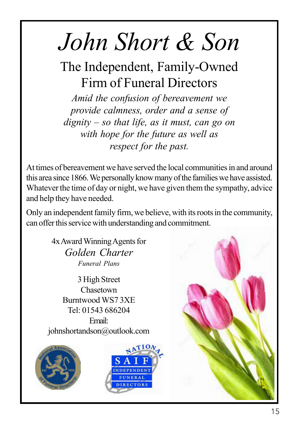# *John Short & Son*

The Independent, Family-Owned Firm of Funeral Directors

*Amid the confusion of bereavement we provide calmness, order and a sense of dignity – so that life, as it must, can go on with hope for the future as well as respect for the past.*

At times of bereavement we have served the local communities in and around this area since 1866. We personally know many of the families we have assisted. Whatever the time of day or night, we have given them the sympathy, advice and help they have needed.

Only an independent family firm, we believe, with its roots in the community, can offer this service with understanding and commitment.

> 4x Award Winning Agents for *Golden Charter Funeral Plans*

3 High Street Chasetown Burntwood WS7 3XE Tel: 01543 686204 Email:

johnshortandson@outlook.com